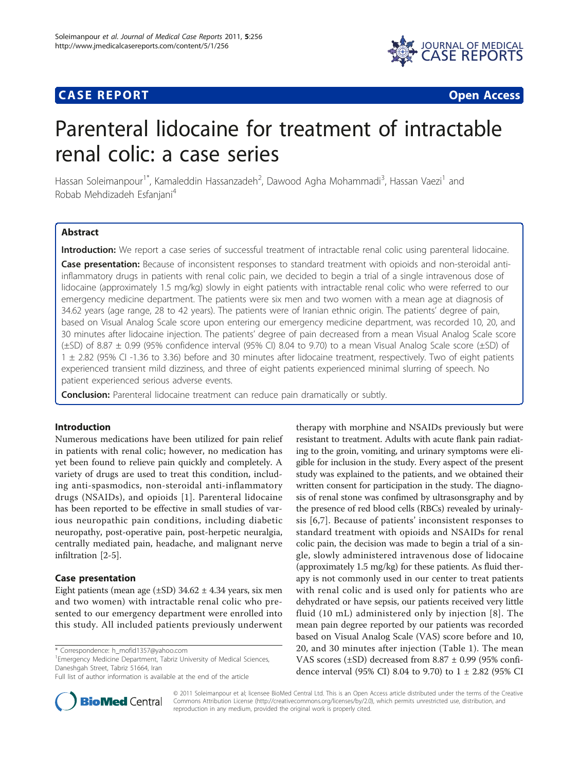## **CASE REPORT CASE REPORT**



# Parenteral lidocaine for treatment of intractable renal colic: a case series

Hassan Soleimanpour<sup>1\*</sup>, Kamaleddin Hassanzadeh<sup>2</sup>, Dawood Agha Mohammadi<sup>3</sup>, Hassan Vaezi<sup>1</sup> and Robab Mehdizadeh Esfaniani<sup>4</sup>

## Abstract

Introduction: We report a case series of successful treatment of intractable renal colic using parenteral lidocaine.

Case presentation: Because of inconsistent responses to standard treatment with opioids and non-steroidal antiinflammatory drugs in patients with renal colic pain, we decided to begin a trial of a single intravenous dose of lidocaine (approximately 1.5 mg/kg) slowly in eight patients with intractable renal colic who were referred to our emergency medicine department. The patients were six men and two women with a mean age at diagnosis of 34.62 years (age range, 28 to 42 years). The patients were of Iranian ethnic origin. The patients' degree of pain, based on Visual Analog Scale score upon entering our emergency medicine department, was recorded 10, 20, and 30 minutes after lidocaine injection. The patients' degree of pain decreased from a mean Visual Analog Scale score (±SD) of 8.87 ± 0.99 (95% confidence interval (95% CI) 8.04 to 9.70) to a mean Visual Analog Scale score (±SD) of 1 ± 2.82 (95% CI -1.36 to 3.36) before and 30 minutes after lidocaine treatment, respectively. Two of eight patients experienced transient mild dizziness, and three of eight patients experienced minimal slurring of speech. No patient experienced serious adverse events.

**Conclusion:** Parenteral lidocaine treatment can reduce pain dramatically or subtly.

## Introduction

Numerous medications have been utilized for pain relief in patients with renal colic; however, no medication has yet been found to relieve pain quickly and completely. A variety of drugs are used to treat this condition, including anti-spasmodics, non-steroidal anti-inflammatory drugs (NSAIDs), and opioids [[1\]](#page-3-0). Parenteral lidocaine has been reported to be effective in small studies of various neuropathic pain conditions, including diabetic neuropathy, post-operative pain, post-herpetic neuralgia, centrally mediated pain, headache, and malignant nerve infiltration [\[2](#page-3-0)-[5\]](#page-3-0).

## Case presentation

Eight patients (mean age  $(\pm SD)$  34.62  $\pm$  4.34 years, six men and two women) with intractable renal colic who presented to our emergency department were enrolled into this study. All included patients previously underwent

<sup>1</sup> Emergency Medicine Department, Tabriz University of Medical Sciences, Daneshgah Street, Tabriz 51664, Iran

Full list of author information is available at the end of the article



therapy with morphine and NSAIDs previously but were resistant to treatment. Adults with acute flank pain radiating to the groin, vomiting, and urinary symptoms were eligible for inclusion in the study. Every aspect of the present study was explained to the patients, and we obtained their written consent for participation in the study. The diagnosis of renal stone was confimed by ultrasonsgraphy and by the presence of red blood cells (RBCs) revealed by urinalysis [[6,7\]](#page-3-0). Because of patients' inconsistent responses to standard treatment with opioids and NSAIDs for renal colic pain, the decision was made to begin a trial of a single, slowly administered intravenous dose of lidocaine (approximately 1.5 mg/kg) for these patients. As fluid therapy is not commonly used in our center to treat patients with renal colic and is used only for patients who are dehydrated or have sepsis, our patients received very little fluid (10 mL) administered only by injection [[8](#page-3-0)]. The mean pain degree reported by our patients was recorded based on Visual Analog Scale (VAS) score before and 10, 20, and 30 minutes after injection (Table [1](#page-1-0)). The mean VAS scores ( $\pm$ SD) decreased from 8.87  $\pm$  0.99 (95% confidence interval (95% CI) 8.04 to 9.70) to 1 ± 2.82 (95% CI

© 2011 Soleimanpour et al; licensee BioMed Central Ltd. This is an Open Access article distributed under the terms of the Creative Commons Attribution License [\(http://creativecommons.org/licenses/by/2.0](http://creativecommons.org/licenses/by/2.0)), which permits unrestricted use, distribution, and reproduction in any medium, provided the original work is properly cited.

<sup>\*</sup> Correspondence: [h\\_mofid1357@yahoo.com](mailto:h_mofid1357@yahoo.com)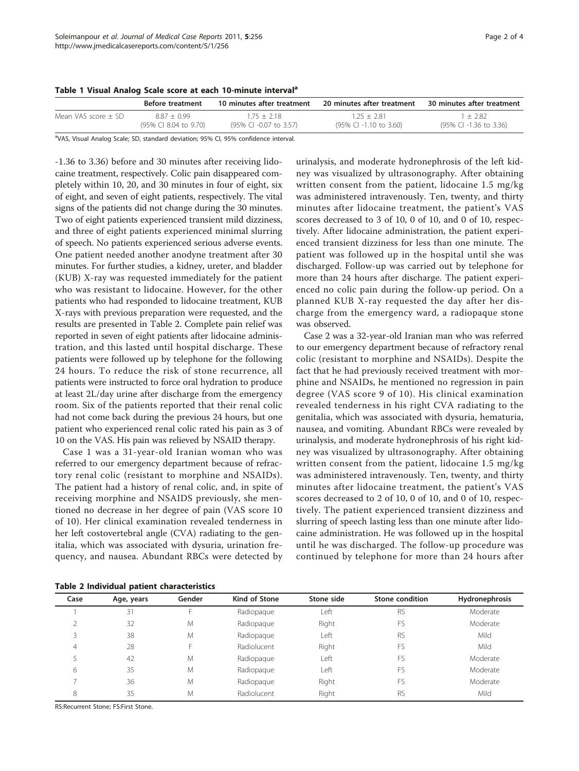<span id="page-1-0"></span>Table 1 Visual Analog Scale score at each 10-minute interval<sup>a</sup>

|                       | <b>Before treatment</b> | 10 minutes after treatment | 20 minutes after treatment | 30 minutes after treatment |
|-----------------------|-------------------------|----------------------------|----------------------------|----------------------------|
| Mean VAS score $+$ SD | $887 + 099$             | 175 + 218                  | $125 + 281$                | 1 + 282                    |
|                       | (95% CI 8.04 to 9.70)   | (95% CI -0.07 to 3.57)     | (95% CI -1.10 to 3.60)     | (95% CI -1.36 to 3.36)     |

<sup>a</sup>VAS, Visual Analog Scale; SD, standard deviation; 95% CI, 95% confidence interval.

-1.36 to 3.36) before and 30 minutes after receiving lidocaine treatment, respectively. Colic pain disappeared completely within 10, 20, and 30 minutes in four of eight, six of eight, and seven of eight patients, respectively. The vital signs of the patients did not change during the 30 minutes. Two of eight patients experienced transient mild dizziness, and three of eight patients experienced minimal slurring of speech. No patients experienced serious adverse events. One patient needed another anodyne treatment after 30 minutes. For further studies, a kidney, ureter, and bladder (KUB) X-ray was requested immediately for the patient who was resistant to lidocaine. However, for the other patients who had responded to lidocaine treatment, KUB X-rays with previous preparation were requested, and the results are presented in Table 2. Complete pain relief was reported in seven of eight patients after lidocaine administration, and this lasted until hospital discharge. These patients were followed up by telephone for the following 24 hours. To reduce the risk of stone recurrence, all patients were instructed to force oral hydration to produce at least 2L/day urine after discharge from the emergency room. Six of the patients reported that their renal colic had not come back during the previous 24 hours, but one patient who experienced renal colic rated his pain as 3 of 10 on the VAS. His pain was relieved by NSAID therapy.

Case 1 was a 31-year-old Iranian woman who was referred to our emergency department because of refractory renal colic (resistant to morphine and NSAIDs). The patient had a history of renal colic, and, in spite of receiving morphine and NSAIDS previously, she mentioned no decrease in her degree of pain (VAS score 10 of 10). Her clinical examination revealed tenderness in her left costovertebral angle (CVA) radiating to the genitalia, which was associated with dysuria, urination frequency, and nausea. Abundant RBCs were detected by

urinalysis, and moderate hydronephrosis of the left kidney was visualized by ultrasonography. After obtaining written consent from the patient, lidocaine 1.5 mg/kg was administered intravenously. Ten, twenty, and thirty minutes after lidocaine treatment, the patient's VAS scores decreased to 3 of 10, 0 of 10, and 0 of 10, respectively. After lidocaine administration, the patient experienced transient dizziness for less than one minute. The patient was followed up in the hospital until she was discharged. Follow-up was carried out by telephone for more than 24 hours after discharge. The patient experienced no colic pain during the follow-up period. On a planned KUB X-ray requested the day after her discharge from the emergency ward, a radiopaque stone was observed.

Case 2 was a 32-year-old Iranian man who was referred to our emergency department because of refractory renal colic (resistant to morphine and NSAIDs). Despite the fact that he had previously received treatment with morphine and NSAIDs, he mentioned no regression in pain degree (VAS score 9 of 10). His clinical examination revealed tenderness in his right CVA radiating to the genitalia, which was associated with dysuria, hematuria, nausea, and vomiting. Abundant RBCs were revealed by urinalysis, and moderate hydronephrosis of his right kidney was visualized by ultrasonography. After obtaining written consent from the patient, lidocaine 1.5 mg/kg was administered intravenously. Ten, twenty, and thirty minutes after lidocaine treatment, the patient's VAS scores decreased to 2 of 10, 0 of 10, and 0 of 10, respectively. The patient experienced transient dizziness and slurring of speech lasting less than one minute after lidocaine administration. He was followed up in the hospital until he was discharged. The follow-up procedure was continued by telephone for more than 24 hours after

| Case | Age, years | Gender | Kind of Stone | Stone side | Stone condition | Hydronephrosis |  |
|------|------------|--------|---------------|------------|-----------------|----------------|--|
|      | 31         |        | Radiopague    | Left       | <b>RS</b>       | Moderate       |  |
|      | 32         | M      | Radiopague    | Right      | FS              | Moderate       |  |
|      | 38         | M      | Radiopague    | Left       | <b>RS</b>       | Mild           |  |
| 4    | 28         |        | Radiolucent   | Right      | FS              | Mild           |  |
|      | 42         | M      | Radiopague    | ∟eft       | FS              | Moderate       |  |
| 6    | 35         | M      | Radiopague    | Left       | FS              | Moderate       |  |
|      | 36         | M      | Radiopague    | Right      | FS              | Moderate       |  |
| 8    | 35         | M      | Radiolucent   | Right      | RS              | Mild           |  |
|      |            |        |               |            |                 |                |  |

RS:Recurrent Stone; FS:First Stone.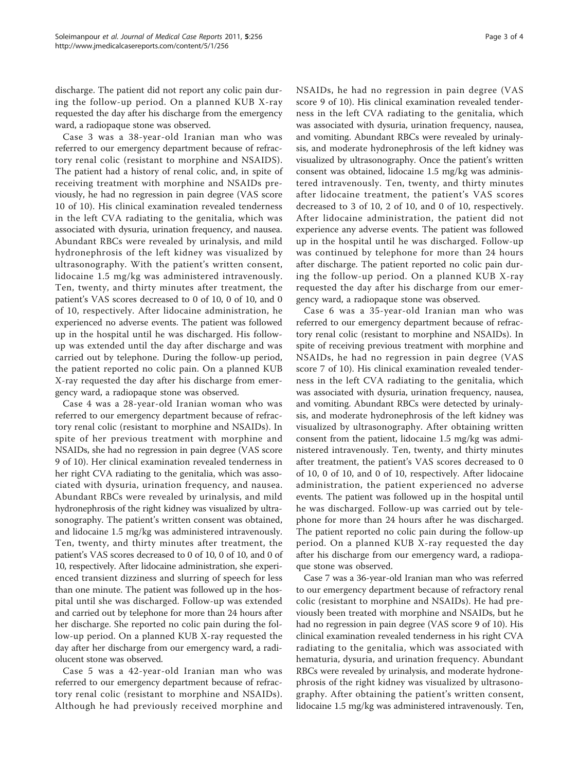discharge. The patient did not report any colic pain during the follow-up period. On a planned KUB X-ray requested the day after his discharge from the emergency ward, a radiopaque stone was observed.

Case 3 was a 38-year-old Iranian man who was referred to our emergency department because of refractory renal colic (resistant to morphine and NSAIDS). The patient had a history of renal colic, and, in spite of receiving treatment with morphine and NSAIDs previously, he had no regression in pain degree (VAS score 10 of 10). His clinical examination revealed tenderness in the left CVA radiating to the genitalia, which was associated with dysuria, urination frequency, and nausea. Abundant RBCs were revealed by urinalysis, and mild hydronephrosis of the left kidney was visualized by ultrasonography. With the patient's written consent, lidocaine 1.5 mg/kg was administered intravenously. Ten, twenty, and thirty minutes after treatment, the patient's VAS scores decreased to 0 of 10, 0 of 10, and 0 of 10, respectively. After lidocaine administration, he experienced no adverse events. The patient was followed up in the hospital until he was discharged. His followup was extended until the day after discharge and was carried out by telephone. During the follow-up period, the patient reported no colic pain. On a planned KUB X-ray requested the day after his discharge from emergency ward, a radiopaque stone was observed.

Case 4 was a 28-year-old Iranian woman who was referred to our emergency department because of refractory renal colic (resistant to morphine and NSAIDs). In spite of her previous treatment with morphine and NSAIDs, she had no regression in pain degree (VAS score 9 of 10). Her clinical examination revealed tenderness in her right CVA radiating to the genitalia, which was associated with dysuria, urination frequency, and nausea. Abundant RBCs were revealed by urinalysis, and mild hydronephrosis of the right kidney was visualized by ultrasonography. The patient's written consent was obtained, and lidocaine 1.5 mg/kg was administered intravenously. Ten, twenty, and thirty minutes after treatment, the patient's VAS scores decreased to 0 of 10, 0 of 10, and 0 of 10, respectively. After lidocaine administration, she experienced transient dizziness and slurring of speech for less than one minute. The patient was followed up in the hospital until she was discharged. Follow-up was extended and carried out by telephone for more than 24 hours after her discharge. She reported no colic pain during the follow-up period. On a planned KUB X-ray requested the day after her discharge from our emergency ward, a radiolucent stone was observed.

Case 5 was a 42-year-old Iranian man who was referred to our emergency department because of refractory renal colic (resistant to morphine and NSAIDs). Although he had previously received morphine and NSAIDs, he had no regression in pain degree (VAS score 9 of 10). His clinical examination revealed tenderness in the left CVA radiating to the genitalia, which was associated with dysuria, urination frequency, nausea, and vomiting. Abundant RBCs were revealed by urinalysis, and moderate hydronephrosis of the left kidney was visualized by ultrasonography. Once the patient's written consent was obtained, lidocaine 1.5 mg/kg was administered intravenously. Ten, twenty, and thirty minutes after lidocaine treatment, the patient's VAS scores decreased to 3 of 10, 2 of 10, and 0 of 10, respectively. After lidocaine administration, the patient did not experience any adverse events. The patient was followed up in the hospital until he was discharged. Follow-up was continued by telephone for more than 24 hours after discharge. The patient reported no colic pain during the follow-up period. On a planned KUB X-ray requested the day after his discharge from our emergency ward, a radiopaque stone was observed.

Case 6 was a 35-year-old Iranian man who was referred to our emergency department because of refractory renal colic (resistant to morphine and NSAIDs). In spite of receiving previous treatment with morphine and NSAIDs, he had no regression in pain degree (VAS score 7 of 10). His clinical examination revealed tenderness in the left CVA radiating to the genitalia, which was associated with dysuria, urination frequency, nausea, and vomiting. Abundant RBCs were detected by urinalysis, and moderate hydronephrosis of the left kidney was visualized by ultrasonography. After obtaining written consent from the patient, lidocaine 1.5 mg/kg was administered intravenously. Ten, twenty, and thirty minutes after treatment, the patient's VAS scores decreased to 0 of 10, 0 of 10, and 0 of 10, respectively. After lidocaine administration, the patient experienced no adverse events. The patient was followed up in the hospital until he was discharged. Follow-up was carried out by telephone for more than 24 hours after he was discharged. The patient reported no colic pain during the follow-up period. On a planned KUB X-ray requested the day after his discharge from our emergency ward, a radiopaque stone was observed.

Case 7 was a 36-year-old Iranian man who was referred to our emergency department because of refractory renal colic (resistant to morphine and NSAIDs). He had previously been treated with morphine and NSAIDs, but he had no regression in pain degree (VAS score 9 of 10). His clinical examination revealed tenderness in his right CVA radiating to the genitalia, which was associated with hematuria, dysuria, and urination frequency. Abundant RBCs were revealed by urinalysis, and moderate hydronephrosis of the right kidney was visualized by ultrasonography. After obtaining the patient's written consent, lidocaine 1.5 mg/kg was administered intravenously. Ten,